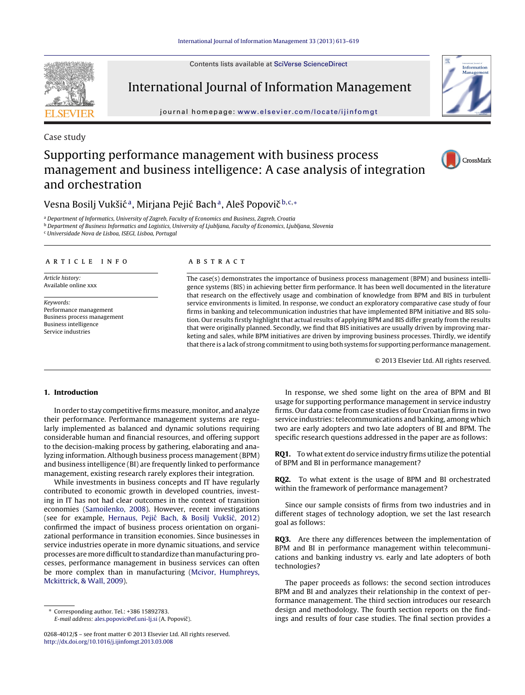Contents lists available at SciVerse [ScienceDirect](http://www.sciencedirect.com/science/journal/02684012)

# International Journal of Information Management

iournal homepage: [www.elsevier.com/locate/ijinfomgt](http://www.elsevier.com/locate/ijinfomgt)

Case study

# Supporting performance management with business process management and business intelligence: A case analysis of integration and orchestration

# Vesna Bosilj Vukšić<sup>a</sup>, Mirjana Pejić Bach<sup>a</sup>, Aleš Popovič<sup>b,c,∗</sup>

<sup>a</sup> Department of Informatics, University of Zagreb, Faculty of Economics and Business, Zagreb, Croatia

**b Department of Business Informatics and Logistics, University of Ljubljana, Faculty of Economics, Ljubljana, Slovenia** 

<sup>c</sup> Universidade Nova de Lisboa, ISEGI, Lisboa, Portugal

# a r t i c l e i n f o

Article history: Available online xxx

Keywords: Performance management Business process management Business intelligence Service industries

## A B S T R A C T

The case(s) demonstrates the importance of business process management (BPM) and business intelligence systems (BIS) in achieving better firm performance. It has been well documented in the literature that research on the effectively usage and combination of knowledge from BPM and BIS in turbulent service environments is limited. In response, we conduct an exploratory comparative case study of four firms in banking and telecommunication industries that have implemented BPM initiative and BIS solution. Our results firstly highlight that actual results of applying BPM and BIS differ greatly from the results that were originally planned. Secondly, we find that BIS initiatives are usually driven by improving marketing and sales, while BPM initiatives are driven by improving business processes. Thirdly, we identify that there is a lack of strong commitment to using both systems for supporting performance management.

© 2013 Elsevier Ltd. All rights reserved.

# **1. Introduction**

In order to stay competitive firms measure, monitor, and analyze their performance. Performance management systems are regularly implemented as balanced and dynamic solutions requiring considerable human and financial resources, and offering support to the decision-making process by gathering, elaborating and analyzing information. Although business process management (BPM) and business intelligence (BI) are frequently linked to performance management, existing research rarely explores their integration.

While investments in business concepts and IT have regularly contributed to economic growth in developed countries, investing in IT has not had clear outcomes in the context of transition economies [\(Samoilenko,](#page-6-0) [2008\).](#page-6-0) However, recent investigations (see for example, [Hernaus,](#page-5-0) Pejić [Bach,](#page-5-0) [&](#page-5-0) [Bosilj](#page-5-0) Vukšić, [2012\)](#page-5-0) confirmed the impact of business process orientation on organizational performance in transition economies. Since businesses in service industries operate in more dynamic situations, and service processes are more difficult to standardize than manufacturing processes, performance management in business services can often be more complex than in manufacturing ([Mcivor,](#page-6-0) [Humphreys,](#page-6-0) [Mckittrick,](#page-6-0) [&](#page-6-0) [Wall,](#page-6-0) [2009\).](#page-6-0)

In response, we shed some light on the area of BPM and BI usage for supporting performance management in service industry firms. Our data come from case studies of four Croatian firms in two service industries: telecommunications and banking, among which two are early adopters and two late adopters of BI and BPM. The specific research questions addressed in the paper are as follows:

**RQ1.** To what extent do service industry firms utilize the potential of BPM and BI in performance management?

**RQ2.** To what extent is the usage of BPM and BI orchestrated within the framework of performance management?

Since our sample consists of firms from two industries and in different stages of technology adoption, we set the last research goal as follows:

**RQ3.** Are there any differences between the implementation of BPM and BI in performance management within telecommunications and banking industry vs. early and late adopters of both technologies?

The paper proceeds as follows: the second section introduces BPM and BI and analyzes their relationship in the context of performance management. The third section introduces our research design and methodology. The fourth section reports on the findings and results of four case studies. The final section provides a





 $C$ rossMark

<sup>∗</sup> Corresponding author. Tel.: +386 15892783. E-mail address: [ales.popovic@ef.uni-lj.si](mailto:ales.popovic@ef.uni-lj.si) (A. Popovič).

<sup>0268-4012/\$</sup> – see front matter © 2013 Elsevier Ltd. All rights reserved. [http://dx.doi.org/10.1016/j.ijinfomgt.2013.03.008](dx.doi.org/10.1016/j.ijinfomgt.2013.03.008)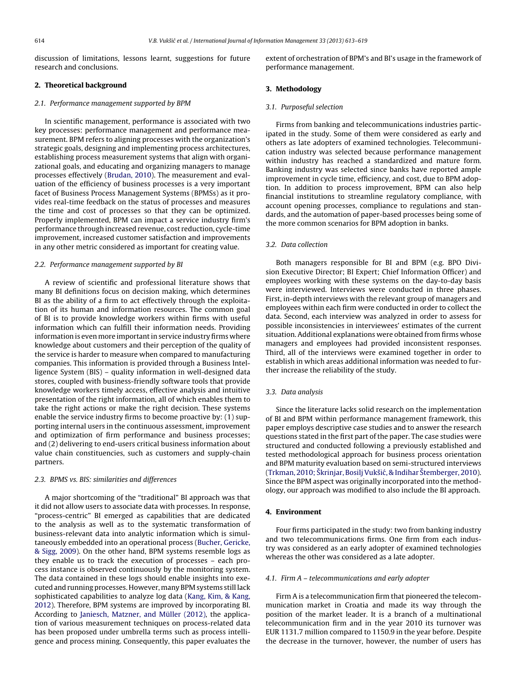discussion of limitations, lessons learnt, suggestions for future research and conclusions.

#### **2. Theoretical background**

#### 2.1. Performance management supported by BPM

In scientific management, performance is associated with two key processes: performance management and performance measurement. BPM refers to aligning processes with the organization's strategic goals, designing and implementing process architectures, establishing process measurement systems that align with organizational goals, and educating and organizing managers to manage processes effectively ([Brudan,](#page-5-0) [2010\).](#page-5-0) The measurement and evaluation of the efficiency of business processes is a very important facet of Business Process Management Systems (BPMSs) as it provides real-time feedback on the status of processes and measures the time and cost of processes so that they can be optimized. Properly implemented, BPM can impact a service industry firm's performance through increased revenue, cost reduction, cycle-time improvement, increased customer satisfaction and improvements in any other metric considered as important for creating value.

#### 2.2. Performance management supported by BI

A review of scientific and professional literature shows that many BI definitions focus on decision making, which determines BI as the ability of a firm to act effectively through the exploitation of its human and information resources. The common goal of BI is to provide knowledge workers within firms with useful information which can fulfill their information needs. Providing information is even more important in service industry firms where knowledge about customers and their perception of the quality of the service is harder to measure when compared to manufacturing companies. This information is provided through a Business Intelligence System (BIS) – quality information in well-designed data stores, coupled with business-friendly software tools that provide knowledge workers timely access, effective analysis and intuitive presentation of the right information, all of which enables them to take the right actions or make the right decision. These systems enable the service industry firms to become proactive by: (1) supporting internal users in the continuous assessment, improvement and optimization of firm performance and business processes; and (2) delivering to end-users critical business information about value chain constituencies, such as customers and supply-chain partners.

# 2.3. BPMS vs. BIS: similarities and differences

A major shortcoming of the "traditional" BI approach was that it did not allow users to associate data with processes. In response, "process-centric" BI emerged as capabilities that are dedicated to the analysis as well as to the systematic transformation of business-relevant data into analytic information which is simultaneously embedded into an operational process ([Bucher,](#page-5-0) [Gericke,](#page-5-0) [&](#page-5-0) [Sigg,](#page-5-0) [2009\).](#page-5-0) On the other hand, BPM systems resemble logs as they enable us to track the execution of processes – each process instance is observed continuously by the monitoring system. The data contained in these logs should enable insights into executed and running processes. However, many BPM systems still lack sophisticated capabilities to analyze log data [\(Kang,](#page-5-0) [Kim,](#page-5-0) [&](#page-5-0) [Kang,](#page-5-0) [2012\).](#page-5-0) Therefore, BPM systems are improved by incorporating BI. According to [Janiesch,](#page-5-0) [Matzner,](#page-5-0) [and](#page-5-0) [Müller](#page-5-0) [\(2012\),](#page-5-0) the application of various measurement techniques on process-related data has been proposed under umbrella terms such as process intelligence and process mining. Consequently, this paper evaluates the

extent of orchestration of BPM's and BI's usage in the framework of performance management.

# **3. Methodology**

#### 3.1. Purposeful selection

Firms from banking and telecommunications industries participated in the study. Some of them were considered as early and others as late adopters of examined technologies. Telecommunication industry was selected because performance management within industry has reached a standardized and mature form. Banking industry was selected since banks have reported ample improvement in cycle time, efficiency, and cost, due to BPM adoption. In addition to process improvement, BPM can also help financial institutions to streamline regulatory compliance, with account opening processes, compliance to regulations and standards, and the automation of paper-based processes being some of the more common scenarios for BPM adoption in banks.

#### 3.2. Data collection

Both managers responsible for BI and BPM (e.g. BPO Division Executive Director; BI Expert; Chief Information Officer) and employees working with these systems on the day-to-day basis were interviewed. Interviews were conducted in three phases. First, in-depth interviews with the relevant group of managers and employees within each firm were conducted in order to collect the data. Second, each interview was analyzed in order to assess for possible inconsistencies in interviewees' estimates of the current situation. Additional explanations were obtained from firms whose managers and employees had provided inconsistent responses. Third, all of the interviews were examined together in order to establish in which areas additional information was needed to further increase the reliability of the study.

### 3.3. Data analysis

Since the literature lacks solid research on the implementation of BI and BPM within performance management framework, this paper employs descriptive case studies and to answer the research questions stated in the first part of the paper. The case studies were structured and conducted following a previously established and tested methodological approach for business process orientation and BPM maturity evaluation based on semi-structured interviews [\(Trkman,](#page-6-0) [2010;](#page-6-0) Škrinjar, Bosilj Vukšić, [&](#page-6-0) [Indihar](#page-6-0) Štemberger, [2010\).](#page-6-0) Since the BPM aspect was originally incorporated into the methodology, our approach was modified to also include the BI approach.

#### **4. Environment**

Four firms participated in the study: two from banking industry and two telecommunications firms. One firm from each industry was considered as an early adopter of examined technologies whereas the other was considered as a late adopter.

#### 4.1. Firm A – telecommunications and early adopter

Firm A is a telecommunication firm that pioneered the telecommunication market in Croatia and made its way through the position of the market leader. It is a branch of a multinational telecommunication firm and in the year 2010 its turnover was EUR 1131.7 million compared to 1150.9 in the year before. Despite the decrease in the turnover, however, the number of users has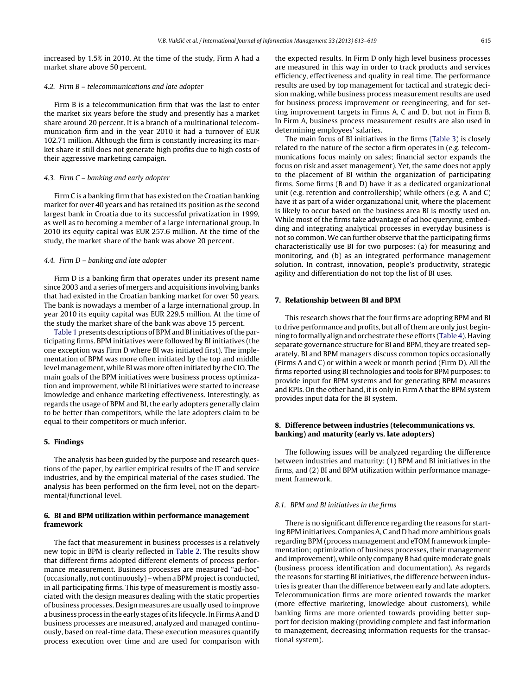increased by 1.5% in 2010. At the time of the study, Firm A had a market share above 50 percent.

#### 4.2. Firm B – telecommunications and late adopter

Firm B is a telecommunication firm that was the last to enter the market six years before the study and presently has a market share around 20 percent. It is a branch of a multinational telecommunication firm and in the year 2010 it had a turnover of EUR 102.71 million. Although the firm is constantly increasing its market share it still does not generate high profits due to high costs of their aggressive marketing campaign.

#### 4.3. Firm C – banking and early adopter

Firm C is a banking firm that has existed on the Croatian banking market for over 40 years and has retained its position as the second largest bank in Croatia due to its successful privatization in 1999, as well as to becoming a member of a large international group. In 2010 its equity capital was EUR 257.6 million. At the time of the study, the market share of the bank was above 20 percent.

#### 4.4. Firm D – banking and late adopter

Firm D is a banking firm that operates under its present name since 2003 and a series of mergers and acquisitions involving banks that had existed in the Croatian banking market for over 50 years. The bank is nowadays a member of a large international group. In year 2010 its equity capital was EUR 229.5 million. At the time of the study the market share of the bank was above 15 percent.

[Table](#page-3-0) 1 presents descriptions of BPMand BI initiatives ofthe participating firms. BPM initiatives were followed by BI initiatives (the one exception was Firm D where BI was initiated first). The implementation of BPM was more often initiated by the top and middle level management, while BI was more often initiated by the CIO. The main goals of the BPM initiatives were business process optimization and improvement, while BI initiatives were started to increase knowledge and enhance marketing effectiveness. Interestingly, as regards the usage of BPM and BI, the early adopters generally claim to be better than competitors, while the late adopters claim to be equal to their competitors or much inferior.

#### **5. Findings**

The analysis has been guided by the purpose and research questions of the paper, by earlier empirical results of the IT and service industries, and by the empirical material of the cases studied. The analysis has been performed on the firm level, not on the departmental/functional level.

# **6. BI and BPM utilization within performance management framework**

The fact that measurement in business processes is a relatively new topic in BPM is clearly reflected in [Table](#page-3-0) 2. The results show that different firms adopted different elements of process performance measurement. Business processes are measured "ad-hoc"  $(occasionally, not continuously) - when a BPM project is conducted,$ in all participating firms. This type of measurement is mostly associated with the design measures dealing with the static properties of business processes. Design measures are usually used to improve a business process in the early stages of its lifecycle. In Firms A and D business processes are measured, analyzed and managed continuously, based on real-time data. These execution measures quantify process execution over time and are used for comparison with the expected results. In Firm D only high level business processes are measured in this way in order to track products and services efficiency, effectiveness and quality in real time. The performance results are used by top management for tactical and strategic decision making, while business process measurement results are used for business process improvement or reengineering, and for setting improvement targets in Firms A, C and D, but not in Firm B. In Firm A, business process measurement results are also used in determining employees' salaries.

The main focus of BI initiatives in the firms ([Table](#page-4-0) 3) is closely related to the nature of the sector a firm operates in (e.g. telecommunications focus mainly on sales; financial sector expands the focus on risk and asset management). Yet, the same does not apply to the placement of BI within the organization of participating firms. Some firms (B and D) have it as a dedicated organizational unit (e.g. retention and controllership) while others (e.g. A and C) have it as part of a wider organizational unit, where the placement is likely to occur based on the business area BI is mostly used on. While most of the firms take advantage of ad hoc querying, embedding and integrating analytical processes in everyday business is not so common. We can further observe that the participating firms characteristically use BI for two purposes: (a) for measuring and monitoring, and (b) as an integrated performance management solution. In contrast, innovation, people's productivity, strategic agility and differentiation do not top the list of BI uses.

## **7. Relationship between BI and BPM**

This research shows that the four firms are adopting BPM and BI to drive performance and profits, but all of them are only just begin-ning to formally align and orchestrate these efforts ([Table](#page-4-0) 4). Having separate governance structure for BI and BPM, they are treated separately. BI and BPM managers discuss common topics occasionally (Firms A and C) or within a week or month period (Firm D). All the firms reported using BI technologies and tools for BPM purposes: to provide input for BPM systems and for generating BPM measures and KPIs. On the other hand, it is only in Firm A that the BPM system provides input data for the BI system.

## **8. Difference between industries (telecommunications vs. banking) and maturity (early vs. late adopters)**

The following issues will be analyzed regarding the difference between industries and maturity: (1) BPM and BI initiatives in the firms, and (2) BI and BPM utilization within performance management framework.

#### 8.1. BPM and BI initiatives in the firms

There is no significant difference regarding the reasons for starting BPM initiatives. Companies A, C and D had more ambitious goals regarding BPM (process management and eTOM framework implementation; optimization of business processes, their management and improvement), while only company B had quite moderate goals (business process identification and documentation). As regards the reasons for starting BI initiatives, the difference between industries is greater than the difference between early and late adopters. Telecommunication firms are more oriented towards the market (more effective marketing, knowledge about customers), while banking firms are more oriented towards providing better support for decision making (providing complete and fast information to management, decreasing information requests for the transactional system).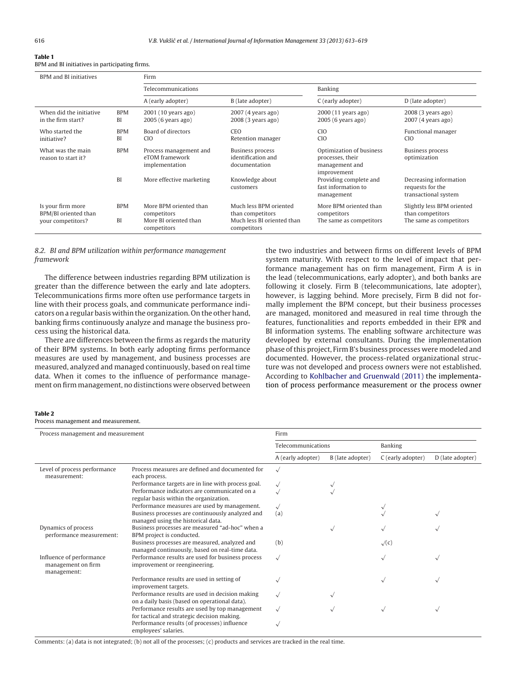# <span id="page-3-0"></span>**Table 1**

BPM and BI initiatives in participating firms.

| <b>BPM</b> and BI initiatives                 |                  | Firm                                                       |                                                                |                                                                               |                                                                    |  |
|-----------------------------------------------|------------------|------------------------------------------------------------|----------------------------------------------------------------|-------------------------------------------------------------------------------|--------------------------------------------------------------------|--|
|                                               |                  | Telecommunications                                         |                                                                | <b>Banking</b>                                                                |                                                                    |  |
|                                               |                  | A (early adopter)                                          | B (late adopter)                                               | C (early adopter)                                                             | D (late adopter)                                                   |  |
| When did the initiative<br>in the firm start? | <b>BPM</b><br>BI | 2001 (10 years ago)<br>2005 (6 years ago)                  | 2007 (4 years ago)<br>2008 (3 years ago)                       | 2000 (11 years ago)<br>2005 (6 years ago)                                     | 2008 (3 years ago)<br>2007 (4 years ago)                           |  |
| Who started the<br>initiative?                | <b>BPM</b><br>BI | Board of directors<br>C <sub>I</sub> O                     | CEO<br>Retention manager                                       | C <sub>I</sub> O<br><b>CIO</b>                                                | Functional manager<br><b>CIO</b>                                   |  |
| What was the main<br>reason to start it?      | <b>BPM</b>       | Process management and<br>eTOM framework<br>implementation | <b>Business process</b><br>identification and<br>documentation | Optimization of business<br>processes, their<br>management and<br>improvement | <b>Business process</b><br>optimization                            |  |
|                                               | BI               | More effective marketing                                   | Knowledge about<br>customers                                   | Providing complete and<br>fast information to<br>management                   | Decreasing information<br>requests for the<br>transactional system |  |
| Is your firm more<br>BPM/BI oriented than     | <b>BPM</b>       | More BPM oriented than<br>competitors                      | Much less BPM oriented<br>than competitors                     | More BPM oriented than<br>competitors                                         | Slightly less BPM oriented<br>than competitors                     |  |
| your competitors?                             | BI               | More BI oriented than<br>competitors                       | Much less BI oriented than<br>competitors                      | The same as competitors                                                       | The same as competitors                                            |  |

#### 8.2. BI and BPM utilization within performance management framework

The difference between industries regarding BPM utilization is greater than the difference between the early and late adopters. Telecommunications firms more often use performance targets in line with their process goals, and communicate performance indicators on a regular basis within the organization. On the other hand, banking firms continuously analyze and manage the business process using the historical data.

There are differences between the firms as regards the maturity of their BPM systems. In both early adopting firms performance measures are used by management, and business processes are measured, analyzed and managed continuously, based on real time data. When it comes to the influence of performance management on firm management, no distinctions were observed between

the two industries and between firms on different levels of BPM system maturity. With respect to the level of impact that performance management has on firm management, Firm A is in the lead (telecommunications, early adopter), and both banks are following it closely. Firm B (telecommunications, late adopter), however, is lagging behind. More precisely, Firm B did not formally implement the BPM concept, but their business processes are managed, monitored and measured in real time through the features, functionalities and reports embedded in their EPR and BI information systems. The enabling software architecture was developed by external consultants. During the implementation phase ofthis project, Firm B's business processes were modeled and documented. However, the process-related organizational structure was not developed and process owners were not established. According to [Kohlbacher](#page-6-0) [and](#page-6-0) [Gruenwald](#page-6-0) [\(2011\)](#page-6-0) the implementation of process performance measurement or the process owner

#### **Table 2**

Process management and measurement.

| Process management and measurement                            |                                                                                                  | Firm               |                  |                   |                  |  |
|---------------------------------------------------------------|--------------------------------------------------------------------------------------------------|--------------------|------------------|-------------------|------------------|--|
|                                                               |                                                                                                  | Telecommunications |                  | <b>Banking</b>    |                  |  |
|                                                               |                                                                                                  | A (early adopter)  | B (late adopter) | C (early adopter) | D (late adopter) |  |
| Level of process performance<br>measurement:                  | Process measures are defined and documented for<br>each process.                                 |                    |                  |                   |                  |  |
|                                                               | Performance targets are in line with process goal.                                               |                    | $\checkmark$     |                   |                  |  |
|                                                               | Performance indicators are communicated on a<br>regular basis within the organization.           |                    |                  |                   |                  |  |
|                                                               | Performance measures are used by management.                                                     | $\sqrt{ }$         |                  |                   |                  |  |
|                                                               | Business processes are continuously analyzed and<br>managed using the historical data.           | (a)                |                  |                   | $\checkmark$     |  |
| Dynamics of process                                           | Business processes are measured "ad-hoc" when a                                                  |                    |                  |                   |                  |  |
| performance measurement:                                      | BPM project is conducted.                                                                        |                    |                  |                   |                  |  |
|                                                               | Business processes are measured, analyzed and<br>managed continuously, based on real-time data.  | (b)                |                  | $\sqrt{c}$        |                  |  |
| Influence of performance<br>management on firm<br>management: | Performance results are used for business process<br>improvement or reengineering.               | $\sqrt{}$          |                  | $\sqrt{ }$        | $\checkmark$     |  |
|                                                               | Performance results are used in setting of<br>improvement targets.                               |                    |                  |                   |                  |  |
|                                                               | Performance results are used in decision making<br>on a daily basis (based on operational data). |                    |                  |                   |                  |  |
|                                                               | Performance results are used by top management<br>for tactical and strategic decision making.    |                    |                  |                   |                  |  |
|                                                               | Performance results (of processes) influence<br>employees' salaries.                             |                    |                  |                   |                  |  |

Comments: (a) data is not integrated; (b) not all of the processes; (c) products and services are tracked in the real time.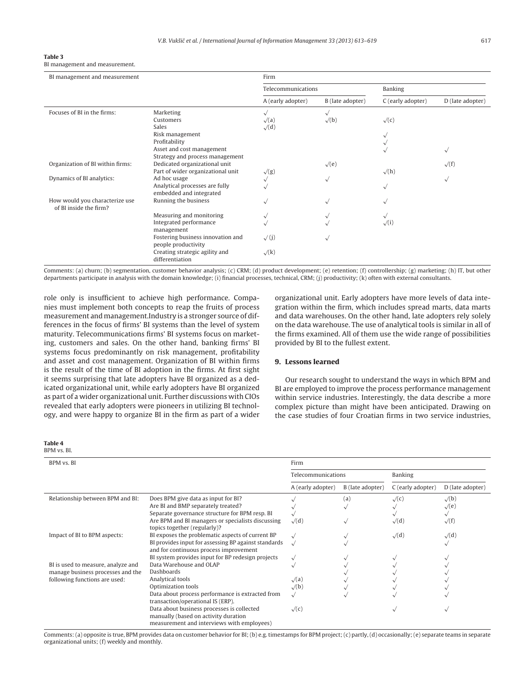#### <span id="page-4-0"></span>**Table 3**

BI management and measurement.

| BI management and measurement                            |                                                          | Firm               |                           |                   |                  |  |
|----------------------------------------------------------|----------------------------------------------------------|--------------------|---------------------------|-------------------|------------------|--|
|                                                          |                                                          | Telecommunications |                           | <b>Banking</b>    |                  |  |
|                                                          |                                                          | A (early adopter)  | B (late adopter)          | C (early adopter) | D (late adopter) |  |
| Focuses of BI in the firms:                              | Marketing<br>Customers                                   | $\sqrt{a}$         | $\sqrt{}$<br>$\sqrt{(b)}$ | $\sqrt{c}$        |                  |  |
|                                                          | Sales                                                    | $\sqrt{d}$         |                           |                   |                  |  |
|                                                          | Risk management                                          |                    |                           |                   |                  |  |
|                                                          | Profitability                                            |                    |                           |                   |                  |  |
|                                                          | Asset and cost management                                |                    |                           |                   | $\sqrt{ }$       |  |
|                                                          | Strategy and process management                          |                    |                           |                   |                  |  |
| Organization of BI within firms:                         | Dedicated organizational unit                            |                    | $\sqrt{e}$                |                   | $\sqrt{(f)}$     |  |
|                                                          | Part of wider organizational unit                        | $\sqrt{g}$         |                           | $\sqrt{h}$        |                  |  |
| Dynamics of BI analytics:                                | Ad hoc usage                                             |                    | $\sqrt{}$                 |                   | $\checkmark$     |  |
|                                                          | Analytical processes are fully                           |                    |                           | $\sqrt{}$         |                  |  |
|                                                          | embedded and integrated                                  |                    |                           |                   |                  |  |
| How would you characterize use<br>of BI inside the firm? | Running the business                                     |                    | $\sqrt{}$                 | $\sqrt{ }$        |                  |  |
|                                                          | Measuring and monitoring                                 | $\checkmark$       | $\checkmark$              |                   |                  |  |
|                                                          | Integrated performance                                   |                    |                           | $\sqrt{(i)}$      |                  |  |
|                                                          | management                                               |                    |                           |                   |                  |  |
|                                                          | Fostering business innovation and<br>people productivity | $\sqrt{(j)}$       | $\checkmark$              |                   |                  |  |
|                                                          | Creating strategic agility and<br>differentiation        | $\sqrt{k}$         |                           |                   |                  |  |

Comments: (a) churn; (b) segmentation, customer behavior analysis; (c) CRM; (d) product development; (e) retention; (f) controllership; (g) marketing; (h) IT, but other departments participate in analysis with the domain knowledge; (i) financial processes, technical, CRM; (j) productivity; (k) often with external consultants.

role only is insufficient to achieve high performance. Companies must implement both concepts to reap the fruits of process measurement and management.Industry is a stronger source of differences in the focus of firms' BI systems than the level of system maturity. Telecommunications firms' BI systems focus on marketing, customers and sales. On the other hand, banking firms' BI systems focus predominantly on risk management, profitability and asset and cost management. Organization of BI within firms is the result of the time of BI adoption in the firms. At first sight it seems surprising that late adopters have BI organized as a dedicated organizational unit, while early adopters have BI organized as part of a wider organizational unit. Further discussions with CIOs revealed that early adopters were pioneers in utilizing BI technology, and were happy to organize BI in the firm as part of a wider

organizational unit. Early adopters have more levels of data integration within the firm, which includes spread marts, data marts and data warehouses. On the other hand, late adopters rely solely on the data warehouse. The use of analytical tools is similar in all of the firms examined. All of them use the wide range of possibilities provided by BI to the fullest extent.

#### **9. Lessons learned**

Our research sought to understand the ways in which BPM and BI are employed to improve the process performance management within service industries. Interestingly, the data describe a more complex picture than might have been anticipated. Drawing on the case studies of four Croatian firms in two service industries,

#### **Table 4**

BPM vs. BI.

| BPM vs. BI                         |                                                                                                                                  | Firm                                 |                  |                   |                  |  |
|------------------------------------|----------------------------------------------------------------------------------------------------------------------------------|--------------------------------------|------------------|-------------------|------------------|--|
|                                    |                                                                                                                                  | <b>Banking</b><br>Telecommunications |                  |                   |                  |  |
|                                    |                                                                                                                                  | A (early adopter)                    | B (late adopter) | C (early adopter) | D (late adopter) |  |
| Relationship between BPM and BI:   | Does BPM give data as input for BI?                                                                                              |                                      | (a)              | $\sqrt{c}$        | $\sqrt{(b)}$     |  |
|                                    | Are BI and BMP separately treated?                                                                                               |                                      |                  |                   | $\sqrt{e}$       |  |
|                                    | Separate governance structure for BPM resp. BI                                                                                   |                                      |                  |                   |                  |  |
|                                    | Are BPM and BI managers or specialists discussing<br>topics together (regularly)?                                                | $\sqrt{d}$                           |                  | $\sqrt{d}$        | $\sqrt{(f)}$     |  |
| Impact of BI to BPM aspects:       | BI exposes the problematic aspects of current BP                                                                                 |                                      |                  | $\sqrt{d}$        | $\sqrt{d}$       |  |
|                                    | BI provides input for assessing BP against standards<br>and for continuous process improvement                                   |                                      |                  |                   |                  |  |
|                                    | BI system provides input for BP redesign projects                                                                                | $\sqrt{}$                            |                  |                   |                  |  |
| BI is used to measure, analyze and | Data Warehouse and OLAP                                                                                                          |                                      |                  |                   |                  |  |
| manage business processes and the  | Dashboards                                                                                                                       |                                      |                  |                   |                  |  |
| following functions are used:      | Analytical tools                                                                                                                 | $\sqrt{a}$                           |                  |                   |                  |  |
|                                    | Optimization tools                                                                                                               | $\sqrt{(b)}$                         |                  |                   |                  |  |
|                                    | Data about process performance is extracted from<br>transaction/operational IS (ERP).                                            |                                      |                  |                   |                  |  |
|                                    | Data about business processes is collected<br>manually (based on activity duration<br>measurement and interviews with employees) | $\sqrt{c}$                           |                  |                   |                  |  |

Comments: (a) opposite is true, BPM provides data on customer behavior for BI; (b) e.g. timestamps for BPM project; (c) partly, (d) occasionally; (e) separate teams in separate organizational units; (f) weekly and monthly.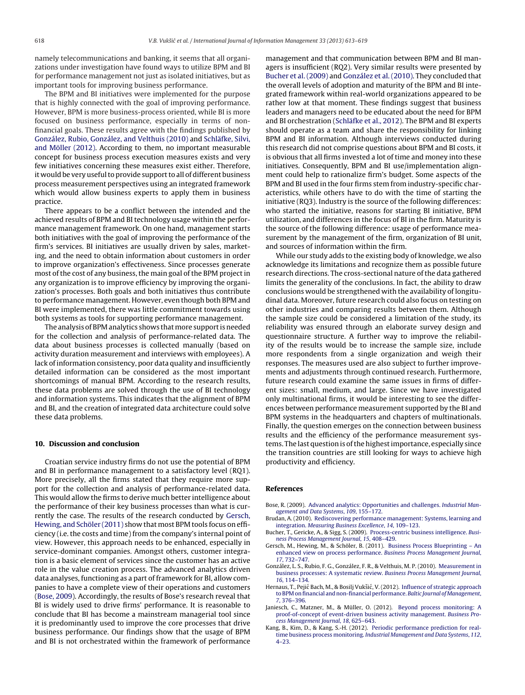<span id="page-5-0"></span>namely telecommunications and banking, it seems that all organizations under investigation have found ways to utilize BPM and BI for performance management not just as isolated initiatives, but as important tools for improving business performance.

The BPM and BI initiatives were implemented for the purpose that is highly connected with the goal of improving performance. However, BPM is more business-process oriented, while BI is more focused on business performance, especially in terms of nonfinancial goals. These results agree with the findings published by González, Rubio, González, and Velthuis (2010) and [Schläfke,](#page-6-0) [Silvi,](#page-6-0) [and](#page-6-0) [Möller](#page-6-0) [\(2012\).](#page-6-0) According to them, no important measurable concept for business process execution measures exists and very few initiatives concerning these measures exist either. Therefore, it would be very useful to provide support to all of different business process measurement perspectives using an integrated framework which would allow business experts to apply them in business practice.

There appears to be a conflict between the intended and the achieved results of BPM and BI technology usage within the performance management framework. On one hand, management starts both initiatives with the goal of improving the performance of the firm's services. BI initiatives are usually driven by sales, marketing, and the need to obtain information about customers in order to improve organization's effectiveness. Since processes generate most of the cost of any business, the main goal of the BPM project in any organization is to improve efficiency by improving the organization's processes. Both goals and both initiatives thus contribute to performance management. However, even though both BPM and BI were implemented, there was little commitment towards using both systems as tools for supporting performance management.

The analysis of BPM analytics shows that more support is needed for the collection and analysis of performance-related data. The data about business processes is collected manually (based on activity duration measurement and interviews with employees). A lack of information consistency, poor data quality and insufficiently detailed information can be considered as the most important shortcomings of manual BPM. According to the research results, these data problems are solved through the use of BI technology and information systems. This indicates that the alignment of BPM and BI, and the creation of integrated data architecture could solve these data problems.

#### **10. Discussion and conclusion**

Croatian service industry firms do not use the potential of BPM and BI in performance management to a satisfactory level (RQ1). More precisely, all the firms stated that they require more support for the collection and analysis of performance-related data. This would allow the firms to derive much better intelligence about the performance of their key business processes than what is currently the case. The results of the research conducted by Gersch, Hewing, and Schöler (2011) show that most BPM tools focus on efficiency (i.e. the costs and time) from the company's internal point of view. However, this approach needs to be enhanced, especially in service-dominant companies. Amongst others, customer integration is a basic element of services since the customer has an active role in the value creation process. The advanced analytics driven data analyses, functioning as a part of framework for BI, allow companies to have a complete view of their operations and customers (Bose, 2009). Accordingly, the results of Bose's research reveal that BI is widely used to drive firms' performance. It is reasonable to conclude that BI has become a mainstream managerial tool since it is predominantly used to improve the core processes that drive business performance. Our findings show that the usage of BPM and BI is not orchestrated within the framework of performance

management and that communication between BPM and BI managers is insufficient (RQ2). Very similar results were presented by Bucher et al. (2009) and González et al. (2010). They concluded that the overall levels of adoption and maturity of the BPM and BI integrated framework within real-world organizations appeared to be rather low at that moment. These findings suggest that business leaders and managers need to be educated about the need for BPM and BI orchestration ([Schläfke](#page-6-0) et [al.,](#page-6-0) [2012\).](#page-6-0) The BPM and BI experts should operate as a team and share the responsibility for linking BPM and BI information. Although interviews conducted during this research did not comprise questions about BPM and BI costs, it is obvious that all firms invested a lot of time and money into these initiatives. Consequently, BPM and BI use/implementation alignment could help to rationalize firm's budget. Some aspects of the BPM and BI used in the four firms stem from industry-specific characteristics, while others have to do with the time of starting the initiative (RQ3). Industry is the source of the following differences: who started the initiative, reasons for starting BI initiative, BPM utilization, and differences in the focus of BI in the firm. Maturity is the source of the following difference: usage of performance measurement by the management of the firm, organization of BI unit, and sources of information within the firm.

While our study adds to the existing body of knowledge, we also acknowledge its limitations and recognize them as possible future research directions. The cross-sectional nature of the data gathered limits the generality of the conclusions. In fact, the ability to draw conclusions would be strengthened with the availability of longitudinal data. Moreover, future research could also focus on testing on other industries and comparing results between them. Although the sample size could be considered a limitation of the study, its reliability was ensured through an elaborate survey design and questionnaire structure. A further way to improve the reliability of the results would be to increase the sample size, include more respondents from a single organization and weigh their responses. The measures used are also subject to further improvements and adjustments through continued research. Furthermore, future research could examine the same issues in firms of different sizes: small, medium, and large. Since we have investigated only multinational firms, it would be interesting to see the differences between performance measurement supported by the BI and BPM systems in the headquarters and chapters of multinationals. Finally, the question emerges on the connection between business results and the efficiency of the performance measurement systems. The last question is of the highest importance, especially since the transition countries are still looking for ways to achieve high productivity and efficiency.

#### **References**

- Bose, R. (2009). [Advanced](http://refhub.elsevier.com/S0268-4012(13)00052-2/SBREF0005) [analytics:](http://refhub.elsevier.com/S0268-4012(13)00052-2/SBREF0005) [Opportunities](http://refhub.elsevier.com/S0268-4012(13)00052-2/SBREF0005) [and](http://refhub.elsevier.com/S0268-4012(13)00052-2/SBREF0005) [challenges.](http://refhub.elsevier.com/S0268-4012(13)00052-2/SBREF0005) [Industrial](http://refhub.elsevier.com/S0268-4012(13)00052-2/SBREF0005) [Man](http://refhub.elsevier.com/S0268-4012(13)00052-2/SBREF0005)[agement](http://refhub.elsevier.com/S0268-4012(13)00052-2/SBREF0005) [and](http://refhub.elsevier.com/S0268-4012(13)00052-2/SBREF0005) [Data](http://refhub.elsevier.com/S0268-4012(13)00052-2/SBREF0005) [Systems](http://refhub.elsevier.com/S0268-4012(13)00052-2/SBREF0005)[,](http://refhub.elsevier.com/S0268-4012(13)00052-2/SBREF0005) [109](http://refhub.elsevier.com/S0268-4012(13)00052-2/SBREF0005), [155–172.](http://refhub.elsevier.com/S0268-4012(13)00052-2/SBREF0005)
- Brudan, A. (2010). [Rediscovering](http://refhub.elsevier.com/S0268-4012(13)00052-2/SBREF0010) [performance](http://refhub.elsevier.com/S0268-4012(13)00052-2/SBREF0010) [management:](http://refhub.elsevier.com/S0268-4012(13)00052-2/SBREF0010) [Systems,](http://refhub.elsevier.com/S0268-4012(13)00052-2/SBREF0010) [learning](http://refhub.elsevier.com/S0268-4012(13)00052-2/SBREF0010) [and](http://refhub.elsevier.com/S0268-4012(13)00052-2/SBREF0010) [integration.](http://refhub.elsevier.com/S0268-4012(13)00052-2/SBREF0010) [Measuring](http://refhub.elsevier.com/S0268-4012(13)00052-2/SBREF0010) [Business](http://refhub.elsevier.com/S0268-4012(13)00052-2/SBREF0010) [Excellence](http://refhub.elsevier.com/S0268-4012(13)00052-2/SBREF0010), [14](http://refhub.elsevier.com/S0268-4012(13)00052-2/SBREF0010)[,](http://refhub.elsevier.com/S0268-4012(13)00052-2/SBREF0010) [109–123.](http://refhub.elsevier.com/S0268-4012(13)00052-2/SBREF0010)
- Bucher, T., Gericke, A., & Sigg, S. (2009). [Process-centric](http://refhub.elsevier.com/S0268-4012(13)00052-2/SBREF0015) [business](http://refhub.elsevier.com/S0268-4012(13)00052-2/SBREF0015) [intelligence.](http://refhub.elsevier.com/S0268-4012(13)00052-2/SBREF0015) [Busi](http://refhub.elsevier.com/S0268-4012(13)00052-2/SBREF0015)[ness](http://refhub.elsevier.com/S0268-4012(13)00052-2/SBREF0015) [Process](http://refhub.elsevier.com/S0268-4012(13)00052-2/SBREF0015) [Management](http://refhub.elsevier.com/S0268-4012(13)00052-2/SBREF0015) [Journal](http://refhub.elsevier.com/S0268-4012(13)00052-2/SBREF0015)[,](http://refhub.elsevier.com/S0268-4012(13)00052-2/SBREF0015) [15](http://refhub.elsevier.com/S0268-4012(13)00052-2/SBREF0015), [408–429.](http://refhub.elsevier.com/S0268-4012(13)00052-2/SBREF0015)
- Gersch, M., Hewing, M., & Schöler, B. (2011). [Business](http://refhub.elsevier.com/S0268-4012(13)00052-2/SBREF0020) [Process](http://refhub.elsevier.com/S0268-4012(13)00052-2/SBREF0020) [Blueprinting](http://refhub.elsevier.com/S0268-4012(13)00052-2/SBREF0020) [An](http://refhub.elsevier.com/S0268-4012(13)00052-2/SBREF0020) [enhanced](http://refhub.elsevier.com/S0268-4012(13)00052-2/SBREF0020) [view](http://refhub.elsevier.com/S0268-4012(13)00052-2/SBREF0020) [on](http://refhub.elsevier.com/S0268-4012(13)00052-2/SBREF0020) [process](http://refhub.elsevier.com/S0268-4012(13)00052-2/SBREF0020) [performance.](http://refhub.elsevier.com/S0268-4012(13)00052-2/SBREF0020) [Business](http://refhub.elsevier.com/S0268-4012(13)00052-2/SBREF0020) [Process](http://refhub.elsevier.com/S0268-4012(13)00052-2/SBREF0020) [Management](http://refhub.elsevier.com/S0268-4012(13)00052-2/SBREF0020) [Journal](http://refhub.elsevier.com/S0268-4012(13)00052-2/SBREF0020)[,](http://refhub.elsevier.com/S0268-4012(13)00052-2/SBREF0020) [17](http://refhub.elsevier.com/S0268-4012(13)00052-2/SBREF0020)[,](http://refhub.elsevier.com/S0268-4012(13)00052-2/SBREF0020) [732](http://refhub.elsevier.com/S0268-4012(13)00052-2/SBREF0020)–[747.](http://refhub.elsevier.com/S0268-4012(13)00052-2/SBREF0020)
- González, L. S., Rubio, F. G., González, F. R., & Velthuis, M. P. (2010). [Measurement](http://refhub.elsevier.com/S0268-4012(13)00052-2/SBREF0025) [in](http://refhub.elsevier.com/S0268-4012(13)00052-2/SBREF0025) [business](http://refhub.elsevier.com/S0268-4012(13)00052-2/SBREF0025) [processes:](http://refhub.elsevier.com/S0268-4012(13)00052-2/SBREF0025) [A](http://refhub.elsevier.com/S0268-4012(13)00052-2/SBREF0025) [systematic](http://refhub.elsevier.com/S0268-4012(13)00052-2/SBREF0025) [review.](http://refhub.elsevier.com/S0268-4012(13)00052-2/SBREF0025) [Business](http://refhub.elsevier.com/S0268-4012(13)00052-2/SBREF0025) [Process](http://refhub.elsevier.com/S0268-4012(13)00052-2/SBREF0025) [Management](http://refhub.elsevier.com/S0268-4012(13)00052-2/SBREF0025) [Journal](http://refhub.elsevier.com/S0268-4012(13)00052-2/SBREF0025)[,](http://refhub.elsevier.com/S0268-4012(13)00052-2/SBREF0025) [16](http://refhub.elsevier.com/S0268-4012(13)00052-2/SBREF0025)[,](http://refhub.elsevier.com/S0268-4012(13)00052-2/SBREF0025) [114](http://refhub.elsevier.com/S0268-4012(13)00052-2/SBREF0025)–[134.](http://refhub.elsevier.com/S0268-4012(13)00052-2/SBREF0025)
- Hernaus, T., Pejić Bach, M., & Bosilj Vukšić, V. (2012). [Influence](http://refhub.elsevier.com/S0268-4012(13)00052-2/SBREF0030) [of](http://refhub.elsevier.com/S0268-4012(13)00052-2/SBREF0030) [strategic](http://refhub.elsevier.com/S0268-4012(13)00052-2/SBREF0030) [approach](http://refhub.elsevier.com/S0268-4012(13)00052-2/SBREF0030) to BPM on financial and non-financial performance. [Baltic](http://refhub.elsevier.com/S0268-4012(13)00052-2/SBREF0030) [Journal](http://refhub.elsevier.com/S0268-4012(13)00052-2/SBREF0030) of Management[,](http://refhub.elsevier.com/S0268-4012(13)00052-2/SBREF0030) [7](http://refhub.elsevier.com/S0268-4012(13)00052-2/SBREF0030)[,](http://refhub.elsevier.com/S0268-4012(13)00052-2/SBREF0030) [376](http://refhub.elsevier.com/S0268-4012(13)00052-2/SBREF0030)–[396.](http://refhub.elsevier.com/S0268-4012(13)00052-2/SBREF0030)
- Janiesch, C., Matzner, M., & Müller, O. (2012). [Beyond](http://refhub.elsevier.com/S0268-4012(13)00052-2/SBREF0035) [process](http://refhub.elsevier.com/S0268-4012(13)00052-2/SBREF0035) [monitoring:](http://refhub.elsevier.com/S0268-4012(13)00052-2/SBREF0035) [A](http://refhub.elsevier.com/S0268-4012(13)00052-2/SBREF0035) [proof-of-concept](http://refhub.elsevier.com/S0268-4012(13)00052-2/SBREF0035) [of](http://refhub.elsevier.com/S0268-4012(13)00052-2/SBREF0035) [event-driven](http://refhub.elsevier.com/S0268-4012(13)00052-2/SBREF0035) [business](http://refhub.elsevier.com/S0268-4012(13)00052-2/SBREF0035) [activity](http://refhub.elsevier.com/S0268-4012(13)00052-2/SBREF0035) [management.](http://refhub.elsevier.com/S0268-4012(13)00052-2/SBREF0035) [Business](http://refhub.elsevier.com/S0268-4012(13)00052-2/SBREF0035) [Pro](http://refhub.elsevier.com/S0268-4012(13)00052-2/SBREF0035)[cess](http://refhub.elsevier.com/S0268-4012(13)00052-2/SBREF0035) [Management](http://refhub.elsevier.com/S0268-4012(13)00052-2/SBREF0035) [Journal](http://refhub.elsevier.com/S0268-4012(13)00052-2/SBREF0035)[,](http://refhub.elsevier.com/S0268-4012(13)00052-2/SBREF0035) [18](http://refhub.elsevier.com/S0268-4012(13)00052-2/SBREF0035)[,](http://refhub.elsevier.com/S0268-4012(13)00052-2/SBREF0035) [625](http://refhub.elsevier.com/S0268-4012(13)00052-2/SBREF0035)–[643.](http://refhub.elsevier.com/S0268-4012(13)00052-2/SBREF0035)
- Kang, B., Kim, D., & Kang, S.-H. (2012). [Periodic](http://refhub.elsevier.com/S0268-4012(13)00052-2/SBREF0040) [performance](http://refhub.elsevier.com/S0268-4012(13)00052-2/SBREF0040) [prediction](http://refhub.elsevier.com/S0268-4012(13)00052-2/SBREF0040) [for](http://refhub.elsevier.com/S0268-4012(13)00052-2/SBREF0040) [real](http://refhub.elsevier.com/S0268-4012(13)00052-2/SBREF0040)[time](http://refhub.elsevier.com/S0268-4012(13)00052-2/SBREF0040) [business](http://refhub.elsevier.com/S0268-4012(13)00052-2/SBREF0040) [process](http://refhub.elsevier.com/S0268-4012(13)00052-2/SBREF0040) [monitoring.](http://refhub.elsevier.com/S0268-4012(13)00052-2/SBREF0040) [Industrial](http://refhub.elsevier.com/S0268-4012(13)00052-2/SBREF0040) [Management](http://refhub.elsevier.com/S0268-4012(13)00052-2/SBREF0040) [and](http://refhub.elsevier.com/S0268-4012(13)00052-2/SBREF0040) [Data](http://refhub.elsevier.com/S0268-4012(13)00052-2/SBREF0040) [Systems](http://refhub.elsevier.com/S0268-4012(13)00052-2/SBREF0040)[,](http://refhub.elsevier.com/S0268-4012(13)00052-2/SBREF0040) [112](http://refhub.elsevier.com/S0268-4012(13)00052-2/SBREF0040)[,](http://refhub.elsevier.com/S0268-4012(13)00052-2/SBREF0040) [4–23.](http://refhub.elsevier.com/S0268-4012(13)00052-2/SBREF0040)